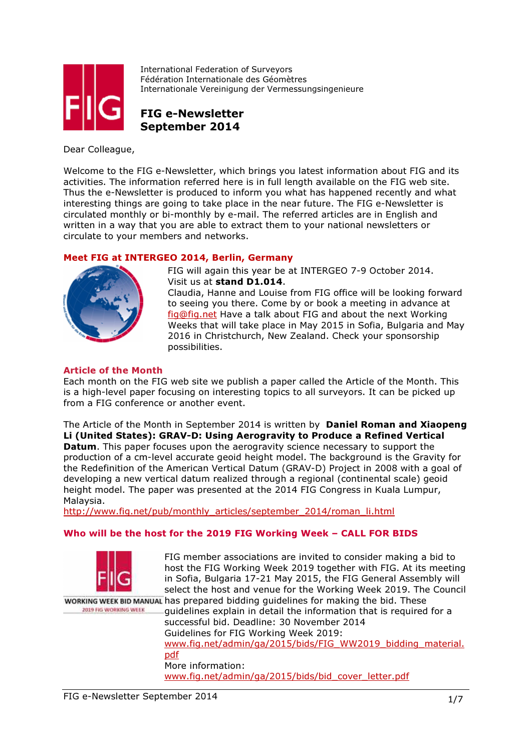

International Federation of Surveyors Fédération Internationale des Géomètres Internationale Vereinigung der Vermessungsingenieure

FIG e-Newsletter September 2014

Dear Colleague,

Welcome to the FIG e-Newsletter, which brings you latest information about FIG and its activities. The information referred here is in full length available on the FIG web site. Thus the e-Newsletter is produced to inform you what has happened recently and what interesting things are going to take place in the near future. The FIG e-Newsletter is circulated monthly or bi-monthly by e-mail. The referred articles are in English and written in a way that you are able to extract them to your national newsletters or circulate to your members and networks.

# Meet FIG at INTERGEO 2014, Berlin, Germany



FIG will again this year be at INTERGEO 7-9 October 2014. Visit us at stand D1.014.

Claudia, Hanne and Louise from FIG office will be looking forward to seeing you there. Come by or book a meeting in advance at fig@fig.net Have a talk about FIG and about the next Working Weeks that will take place in May 2015 in Sofia, Bulgaria and May 2016 in Christchurch, New Zealand. Check your sponsorship possibilities.

# Article of the Month

Each month on the FIG web site we publish a paper called the Article of the Month. This is a high-level paper focusing on interesting topics to all surveyors. It can be picked up from a FIG conference or another event.

The Article of the Month in September 2014 is written by Daniel Roman and Xiaopeng Li (United States): GRAV-D: Using Aerogravity to Produce a Refined Vertical **Datum.** This paper focuses upon the aerogravity science necessary to support the production of a cm-level accurate geoid height model. The background is the Gravity for the Redefinition of the American Vertical Datum (GRAV-D) Project in 2008 with a goal of developing a new vertical datum realized through a regional (continental scale) geoid height model. The paper was presented at the 2014 FIG Congress in Kuala Lumpur, Malaysia.

http://www.fig.net/pub/monthly\_articles/september\_2014/roman\_li.html

#### Who will be the host for the 2019 FIG Working Week – CALL FOR BIDS



FIG member associations are invited to consider making a bid to host the FIG Working Week 2019 together with FIG. At its meeting in Sofia, Bulgaria 17-21 May 2015, the FIG General Assembly will select the host and venue for the Working Week 2019. The Council

WORKING WEEK BID MANUAL has prepared bidding quidelines for making the bid. These 2019 FIG WORKING WEEK

guidelines explain in detail the information that is required for a successful bid. Deadline: 30 November 2014 Guidelines for FIG Working Week 2019: www.fig.net/admin/ga/2015/bids/FIG\_WW2019\_bidding\_material. pdf More information: www.fig.net/admin/ga/2015/bids/bid\_cover\_letter.pdf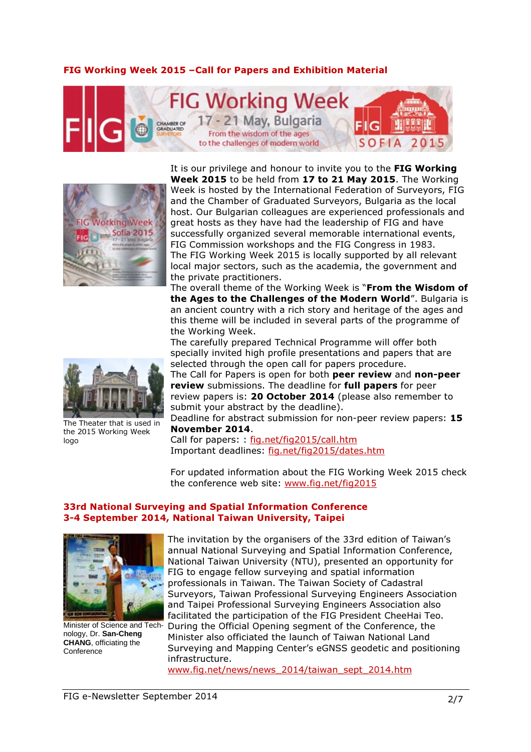#### FIG Working Week 2015 –Call for Papers and Exhibition Material



It is our privilege and honour to invite you to the FIG Working Week 2015 to be held from 17 to 21 May 2015. The Working



Week is hosted by the International Federation of Surveyors, FIG and the Chamber of Graduated Surveyors, Bulgaria as the local host. Our Bulgarian colleagues are experienced professionals and great hosts as they have had the leadership of FIG and have successfully organized several memorable international events, FIG Commission workshops and the FIG Congress in 1983. The FIG Working Week 2015 is locally supported by all relevant local major sectors, such as the academia, the government and the private practitioners.

The overall theme of the Working Week is "From the Wisdom of the Ages to the Challenges of the Modern World". Bulgaria is an ancient country with a rich story and heritage of the ages and this theme will be included in several parts of the programme of the Working Week.



The Theater that is used in the 2015 Working Week logo

The carefully prepared Technical Programme will offer both specially invited high profile presentations and papers that are selected through the open call for papers procedure.

The Call for Papers is open for both peer review and non-peer review submissions. The deadline for full papers for peer review papers is: 20 October 2014 (please also remember to submit your abstract by the deadline).

Deadline for abstract submission for non-peer review papers: 15 November 2014.

Call for papers: : fig.net/fig2015/call.htm Important deadlines: fig.net/fig2015/dates.htm

For updated information about the FIG Working Week 2015 check the conference web site: www.fig.net/fig2015

#### 33rd National Surveying and Spatial Information Conference 3-4 September 2014, National Taiwan University, Taipei



Minister of Science and Technology, Dr. **San-Cheng CHANG**, officiating the **Conference** 

The invitation by the organisers of the 33rd edition of Taiwan's annual National Surveying and Spatial Information Conference, National Taiwan University (NTU), presented an opportunity for FIG to engage fellow surveying and spatial information professionals in Taiwan. The Taiwan Society of Cadastral Surveyors, Taiwan Professional Surveying Engineers Association and Taipei Professional Surveying Engineers Association also facilitated the participation of the FIG President CheeHai Teo.

During the Official Opening segment of the Conference, the Minister also officiated the launch of Taiwan National Land Surveying and Mapping Center's eGNSS geodetic and positioning infrastructure.

www.fig.net/news/news\_2014/taiwan\_sept\_2014.htm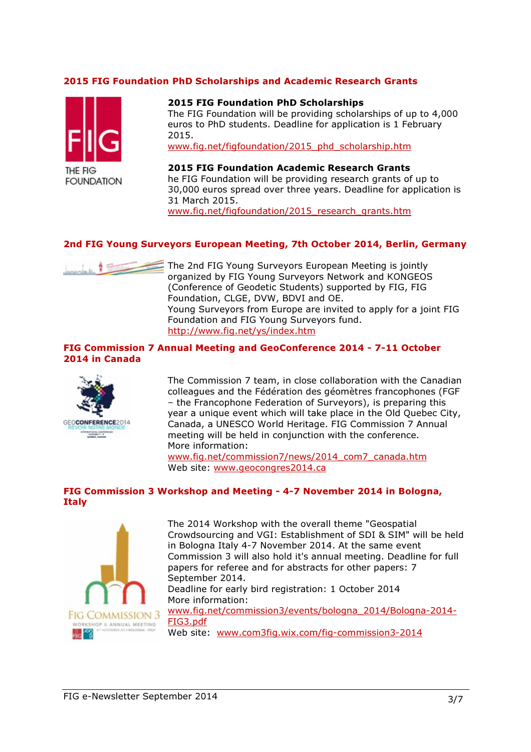#### 2015 FIG Foundation PhD Scholarships and Academic Research Grants



#### 2015 FIG Foundation PhD Scholarships

The FIG Foundation will be providing scholarships of up to 4,000 euros to PhD students. Deadline for application is 1 February 2015.

www.fig.net/figfoundation/2015\_phd\_scholarship.htm

2015 FIG Foundation Academic Research Grants he FIG Foundation will be providing research grants of up to 30,000 euros spread over three years. Deadline for application is 31 March 2015. www.fig.net/figfoundation/2015 research\_grants.htm

#### 2nd FIG Young Surveyors European Meeting, 7th October 2014, Berlin, Germany



The 2nd FIG Young Surveyors European Meeting is jointly organized by FIG Young Surveyors Network and KONGEOS (Conference of Geodetic Students) supported by FIG, FIG Foundation, CLGE, DVW, BDVI and OE. Young Surveyors from Europe are invited to apply for a joint FIG Foundation and FIG Young Surveyors fund. http://www.fig.net/ys/index.htm

#### FIG Commission 7 Annual Meeting and GeoConference 2014 - 7-11 October 2014 in Canada



The Commission 7 team, in close collaboration with the Canadian colleagues and the Fédération des géomètres francophones (FGF – the Francophone Federation of Surveyors), is preparing this year a unique event which will take place in the Old Quebec City, Canada, a UNESCO World Heritage. FIG Commission 7 Annual meeting will be held in conjunction with the conference. More information:

www.fig.net/commission7/news/2014\_com7\_canada.htm Web site: www.geocongres2014.ca

#### FIG Commission 3 Workshop and Meeting - 4-7 November 2014 in Bologna, **Italy**



The 2014 Workshop with the overall theme "Geospatial Crowdsourcing and VGI: Establishment of SDI & SIM" will be held in Bologna Italy 4-7 November 2014. At the same event Commission 3 will also hold it's annual meeting. Deadline for full papers for referee and for abstracts for other papers: 7 September 2014. Deadline for early bird registration: 1 October 2014 More information: www.fig.net/commission3/events/bologna\_2014/Bologna-2014- FIG3.pdf Web site: www.com3fig.wix.com/fig-commission3-2014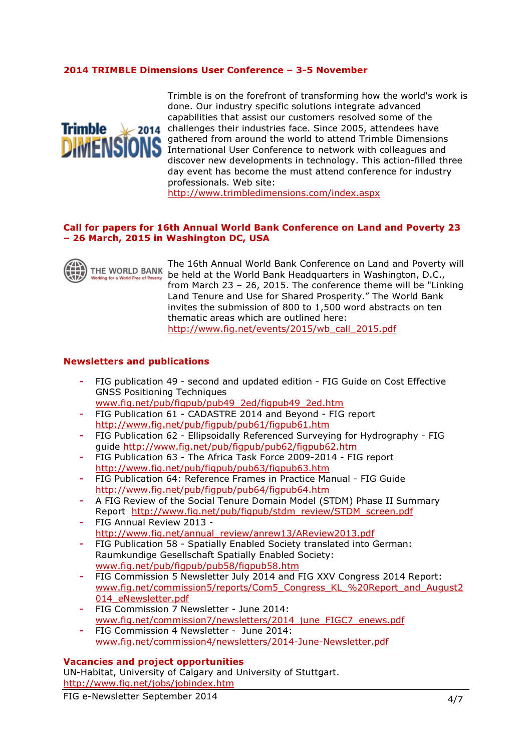#### 2014 TRIMBLE Dimensions User Conference – 3-5 November



Trimble is on the forefront of transforming how the world's work is done. Our industry specific solutions integrate advanced capabilities that assist our customers resolved some of the **Trimble**  $\vee$  2014 challenges their industries face. Since 2005, attendees have gathered from around the world to attend Trimble Dimensions International User Conference to network with colleagues and discover new developments in technology. This action-filled three day event has become the must attend conference for industry professionals. Web site:

http://www.trimbledimensions.com/index.aspx

#### Call for papers for 16th Annual World Bank Conference on Land and Poverty 23 – 26 March, 2015 in Washington DC, USA



The 16th Annual World Bank Conference on Land and Poverty will be held at the World Bank Headquarters in Washington, D.C., from March 23 – 26, 2015. The conference theme will be "Linking Land Tenure and Use for Shared Prosperity." The World Bank invites the submission of 800 to 1,500 word abstracts on ten thematic areas which are outlined here: http://www.fig.net/events/2015/wb\_call\_2015.pdf

#### Newsletters and publications

- FIG publication 49 second and updated edition FIG Guide on Cost Effective GNSS Positioning Techniques
- www.fig.net/pub/figpub/pub49\_2ed/figpub49\_2ed.htm
- FIG Publication 61 CADASTRE 2014 and Beyond FIG report http://www.fig.net/pub/figpub/pub61/figpub61.htm
- FIG Publication 62 Ellipsoidally Referenced Surveying for Hydrography FIG guide http://www.fig.net/pub/figpub/pub62/figpub62.htm
- FIG Publication 63 The Africa Task Force 2009-2014 FIG report http://www.fig.net/pub/figpub/pub63/figpub63.htm
- FIG Publication 64: Reference Frames in Practice Manual FIG Guide http://www.fig.net/pub/figpub/pub64/figpub64.htm
- A FIG Review of the Social Tenure Domain Model (STDM) Phase II Summary Report http://www.fig.net/pub/figpub/stdm\_review/STDM\_screen.pdf
- FIG Annual Review 2013 http://www.fig.net/annual\_review/anrew13/AReview2013.pdf
- FIG Publication 58 Spatially Enabled Society translated into German: Raumkundige Gesellschaft Spatially Enabled Society: www.fig.net/pub/figpub/pub58/figpub58.htm
- FIG Commission 5 Newsletter July 2014 and FIG XXV Congress 2014 Report: www.fig.net/commission5/reports/Com5\_Congress\_KL\_%20Report\_and\_August2 014\_eNewsletter.pdf
- FIG Commission 7 Newsletter June 2014: www.fig.net/commission7/newsletters/2014\_june\_FIGC7\_enews.pdf
- FIG Commission 4 Newsletter June 2014: www.fig.net/commission4/newsletters/2014-June-Newsletter.pdf

#### Vacancies and project opportunities

UN-Habitat, University of Calgary and University of Stuttgart. http://www.fig.net/jobs/jobindex.htm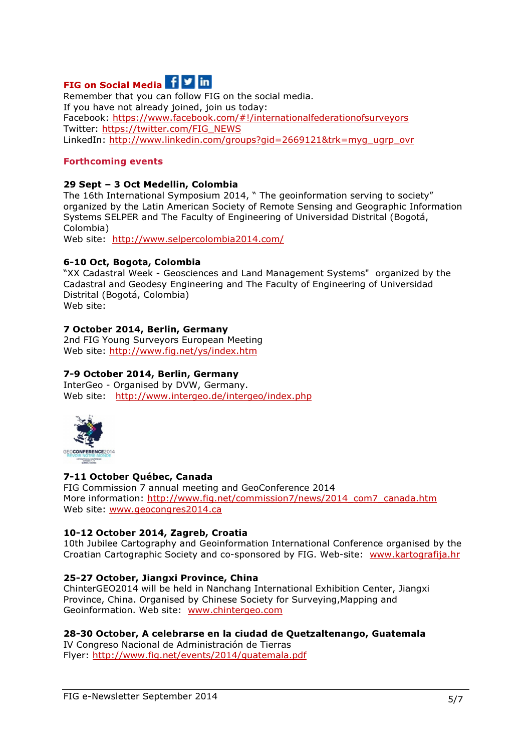# FIG on Social Media Fig.

Remember that you can follow FIG on the social media. If you have not already joined, join us today: Facebook: https://www.facebook.com/#!/internationalfederationofsurveyors Twitter: https://twitter.com/FIG\_NEWS LinkedIn: http://www.linkedin.com/groups?gid=2669121&trk=myg\_ugrp\_ovr

#### Forthcoming events

#### 29 Sept – 3 Oct Medellin, Colombia

The 16th International Symposium 2014, " The geoinformation serving to society" organized by the Latin American Society of Remote Sensing and Geographic Information Systems SELPER and The Faculty of Engineering of Universidad Distrital (Bogotá, Colombia) Web site: http://www.selpercolombia2014.com/

# 6-10 Oct, Bogota, Colombia

"XX Cadastral Week - Geosciences and Land Management Systems" organized by the Cadastral and Geodesy Engineering and The Faculty of Engineering of Universidad Distrital (Bogotá, Colombia) Web site:

### 7 October 2014, Berlin, Germany

2nd FIG Young Surveyors European Meeting Web site: http://www.fig.net/ys/index.htm

#### 7-9 October 2014, Berlin, Germany

InterGeo - Organised by DVW, Germany. Web site: http://www.intergeo.de/intergeo/index.php



#### 7-11 October Québec, Canada

FIG Commission 7 annual meeting and GeoConference 2014 More information: http://www.fig.net/commission7/news/2014\_com7\_canada.htm Web site: www.geocongres2014.ca

#### 10-12 October 2014, Zagreb, Croatia

10th Jubilee Cartography and Geoinformation International Conference organised by the Croatian Cartographic Society and co-sponsored by FIG. Web-site: www.kartografija.hr

#### 25-27 October, Jiangxi Province, China

ChinterGEO2014 will be held in Nanchang International Exhibition Center, Jiangxi Province, China. Organised by Chinese Society for Surveying,Mapping and Geoinformation. Web site: www.chintergeo.com

#### 28-30 October, A celebrarse en la ciudad de Quetzaltenango, Guatemala

IV Congreso Nacional de Administración de Tierras Flyer: http://www.fig.net/events/2014/guatemala.pdf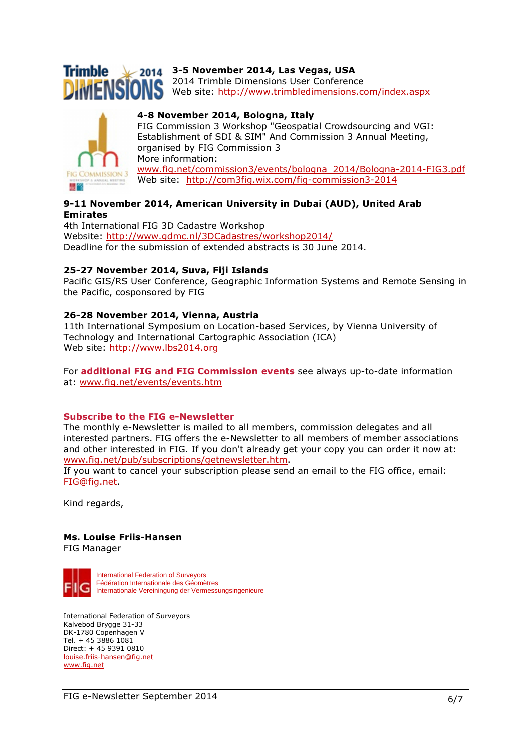

# $$

2014 Trimble Dimensions User Conference Web site: http://www.trimbledimensions.com/index.aspx



4-8 November 2014, Bologna, Italy FIG Commission 3 Workshop "Geospatial Crowdsourcing and VGI: Establishment of SDI & SIM" And Commission 3 Annual Meeting, organised by FIG Commission 3 More information: www.fig.net/commission3/events/bologna\_2014/Bologna-2014-FIG3.pdf Web site: http://com3fig.wix.com/fig-commission3-2014

#### 9-11 November 2014, American University in Dubai (AUD), United Arab Emirates

4th International FIG 3D Cadastre Workshop Website: http://www.gdmc.nl/3DCadastres/workshop2014/ Deadline for the submission of extended abstracts is 30 June 2014.

#### 25-27 November 2014, Suva, Fiji Islands

Pacific GIS/RS User Conference, Geographic Information Systems and Remote Sensing in the Pacific, cosponsored by FIG

#### 26-28 November 2014, Vienna, Austria

11th International Symposium on Location-based Services, by Vienna University of Technology and International Cartographic Association (ICA) Web site: http://www.lbs2014.org

For **additional FIG and FIG Commission events** see always up-to-date information at: www.fig.net/events/events.htm

#### Subscribe to the FIG e-Newsletter

The monthly e-Newsletter is mailed to all members, commission delegates and all interested partners. FIG offers the e-Newsletter to all members of member associations and other interested in FIG. If you don't already get your copy you can order it now at: www.fig.net/pub/subscriptions/getnewsletter.htm.

If you want to cancel your subscription please send an email to the FIG office, email: FIG@fig.net.

Kind regards,

# Ms. Louise Friis-Hansen

FIG Manager



International Federation of Surveyors Fédération Internationale des Géomètres Internationale Vereiningung der Vermessungsingenieure

International Federation of Surveyors Kalvebod Brygge 31-33 DK-1780 Copenhagen V Tel. + 45 3886 1081 Direct: + 45 9391 0810 louise.friis-hansen@fig.net www.fig.net